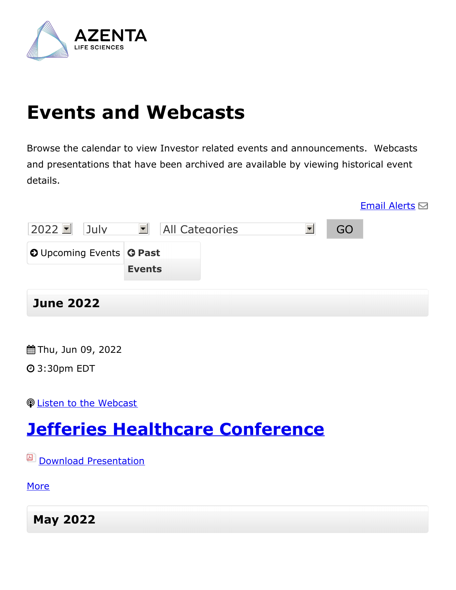

# **Events and Webcasts**

Browse the calendar to view Investor related events and announcements. Webcasts and presentations that have been archived are available by viewing historical event details.

|                                        |                                               |    | <b>Email Alerts</b> $\boxdot$ |
|----------------------------------------|-----------------------------------------------|----|-------------------------------|
| $2022$ $\blacksquare$<br>July          | $\blacktriangledown$<br><b>All Categories</b> | GO |                               |
| <b>O</b> Upcoming Events <b>G Past</b> |                                               |    |                               |
|                                        | <b>Events</b>                                 |    |                               |
|                                        |                                               |    |                               |

#### **June 2022**

Thu, Jun 09, 2022

3:30pm EDT

Listen to the [Webcast](https://wsw.com/webcast/jeff240/azta/1846800)

## **Jefferies Healthcare [Conference](https://investors.azenta.com/events?item=83)**

**Download [Presentation](https://investors.azenta.com/download/Azenta+Investor+Overview+Jefferies+Healthcare+Conference+June+9+2022.pdf)** 

[More](https://investors.azenta.com/events?item=83)

**May 2022**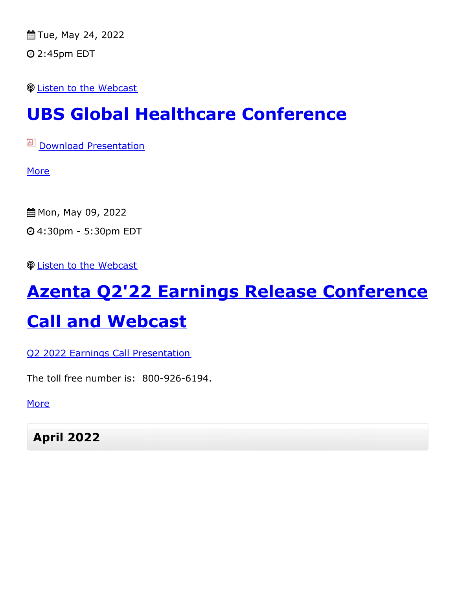Tue, May 24, 2022 2:45pm EDT

Listen to the [Webcast](https://kvgo.com/ubs-global-healthcare-2022/azenta-inc-may)

#### **UBS Global Healthcare [Conference](https://investors.azenta.com/events?item=82)**

**D** Download [Presentation](https://investors.azenta.com/download/2022+24+05+Azenta+Investor+Overview_UBS+Healthcare+Conference_vF.pdf)

**[More](https://investors.azenta.com/events?item=82)** 

 Mon, May 09, 2022 4:30pm - 5:30pm EDT

**<sup>©</sup>** Listen to the [Webcast](https://app.webinar.net/n6dMxE4BgJj)

# **Azenta Q2'22 Earnings Release [Conference](https://investors.azenta.com/events?item=81) Call and Webcast**

Q2 2022 Earnings Call [Presentation](https://investors.azenta.com/download/Q2 FY2022 Earnings Conference Call Presentation.pdf)

The toll free number is: 800-926-6194.

**[More](https://investors.azenta.com/events?item=81)** 

**April 2022**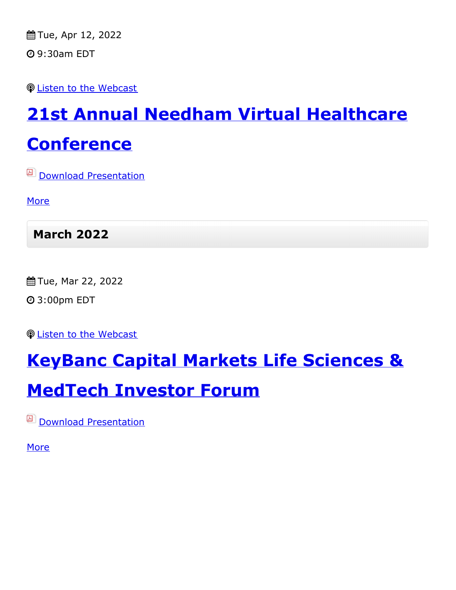Tue, Apr 12, 2022 9:30am EDT

Listen to the [Webcast](https://wsw.com/webcast/needham117/register.aspx?conf=needham117&page=azta&url=https://wsw.com/webcast/needham117/azta/2253744)

# **21st Annual Needham Virtual Healthcare [Conference](https://investors.azenta.com/events?item=80)**

**Download [Presentation](https://investors.azenta.com/download/2022+04+12+Azenta+Investor+Overview+Needham+Virtual+Healthcare+Conference.pdf)** 

**[More](https://investors.azenta.com/events?item=80)** 

**March 2022**

Tue, Mar 22, 2022

3:00pm EDT

Listen to the [Webcast](https://wsw.com/webcast/key21/azta/1674432)

#### **KeyBanc Capital Markets Life Sciences &**

#### **[MedTech](https://investors.azenta.com/events?item=79) Investor Forum**

**Download [Presentation](https://investors.azenta.com/download/Azenta+Investor+Overview+-+KeyBanc+Life+Sciences++MedTech+Investor+Forum+3.22.22.pdf)** 

**[More](https://investors.azenta.com/events?item=79)**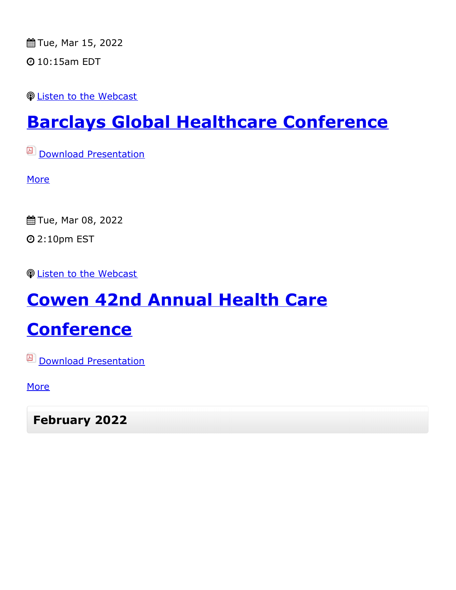Tue, Mar 15, 2022

10:15am EDT

Listen to the [Webcast](https://cc.webcasts.com/barc002/031522a_js/?entity=67_B5RJ161)

## **Barclays Global Healthcare [Conference](https://investors.azenta.com/events?item=77)**

**Download [Presentation](https://investors.azenta.com/download/Azenta+Investor+Overview+for+Barclays+HC+Conference+3.15.22.pdf)** 

**[More](https://investors.azenta.com/events?item=77)** 

Tue, Mar 08, 2022

2:10pm EST

*<u>De Listen to the [Webcast](https://wsw.com/webcast/cowen108/azta/2017872)</u>* 

# **Cowen 42nd Annual Health Care**

## **[Conference](https://investors.azenta.com/events?item=76)**

**D** Download [Presentation](https://investors.azenta.com/download/2022+03+08+Azenta+Investor+Overview_Cowen+HC+Conference_v2.pdf)

**[More](https://investors.azenta.com/events?item=76)** 

**February 2022**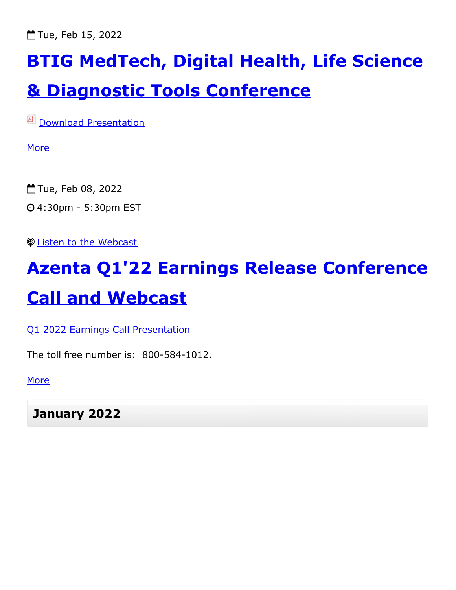Tue, Feb 15, 2022

# **BTIG MedTech, Digital Health, Life Science**

#### **& Diagnostic Tools [Conference](https://investors.azenta.com/events?item=75)**

**D** Download [Presentation](https://investors.azenta.com/download/2022+02+15+Azenta+Investor+Overview_BTIG+Conference__v2.pdf)

**[More](https://investors.azenta.com/events?item=75)** 

- Tue, Feb 08, 2022
- 4:30pm 5:30pm EST

Listen to the [Webcast](https://www.webcaster4.com/Webcast/Page/2836/44447)

## **Azenta Q1'22 Earnings Release [Conference](https://investors.azenta.com/events?item=74)**

#### **Call and Webcast**

Q1 2022 Earnings Call [Presentation](https://investors.azenta.com/download/Q1 FY2022 Earnings Call Presentation.pdf)

The toll free number is: 800-584-1012.

[More](https://investors.azenta.com/events?item=74)

**January 2022**